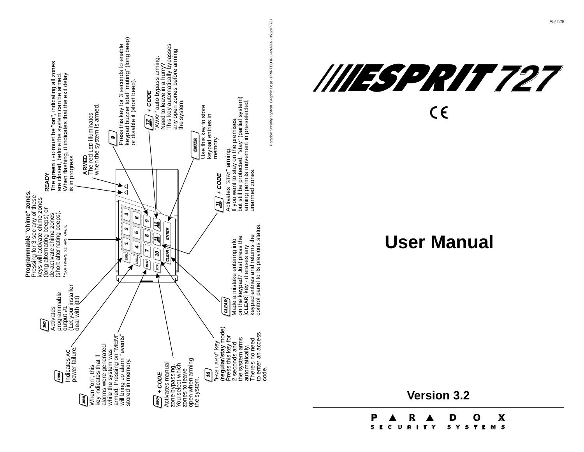



# **User Manual**

**Version 3.2**

**P R DOX**

**S E C U R I T Y S Y S T E M S**

 $\boldsymbol{\mathsf{X}}$ 

95/12/8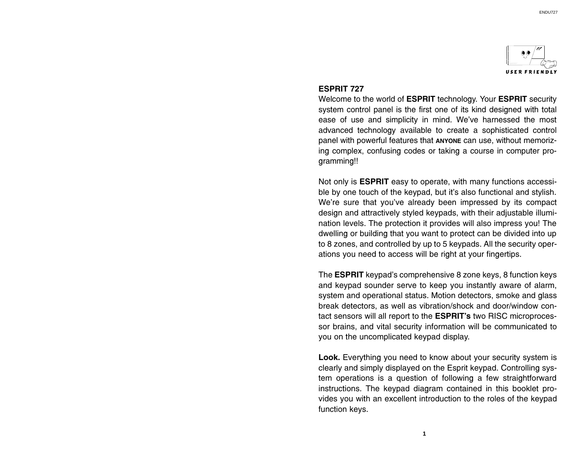

#### ESPRIT 727

Welcome to the world of ESPRIT technology. Your ESPRIT security system control panel is the first one of its kind designed with total ease of use and simplicity in mind. We've harnessed the most advanced technology available to create a sophisticated control panel with powerful features that ANYONE can use, without memorizing complex, confusing codes or taking a course in computer programming!!

Not only is ESPRIT easy to operate, with many functions accessible by one touch of the keypad, but it's also functional and stylish. We're sure that you've already been impressed by its compact design and attractively styled keypads, with their adjustable illumination levels. The protection it provides will also impress you! The dwelling or building that you want to protect can be divided into up to 8 zones, and controlled by up to 5 keypads. All the security operations you need to access will be right at your fingertips.

The **ESPRIT** keypad's comprehensive 8 zone keys, 8 function keys and keypad sounder serve to keep you instantly aware of alarm, system and operational status. Motion detectors, smoke and glass break detectors, as well as vibration/shock and door/window contact sensors will all report to the ESPRIT's two RISC microprocessor brains, and vital security information will be communicated to you on the uncomplicated keypad display.

Look. Everything you need to know about your security system is clearly and simply displayed on the Esprit keypad. Controlling system operations is a question of following a few straightforward instructions. The keypad diagram contained in this booklet provides you with an excellent introduction to the roles of the keypad function keys.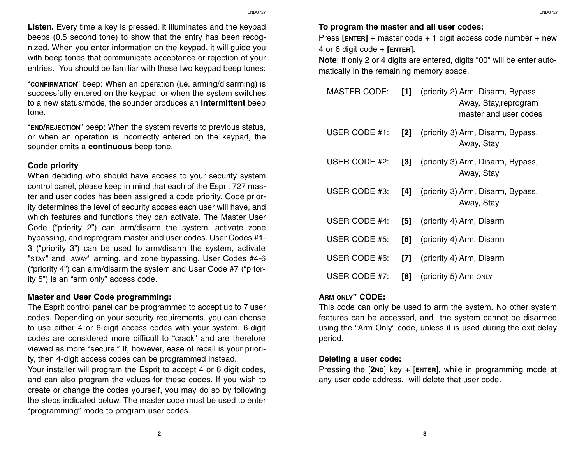Listen. Every time a key is pressed, it illuminates and the keypad beeps (0.5 second tone) to show that the entry has been recognized. When you enter information on the keypad, it will guide you with beep tones that communicate acceptance or rejection of your entries. You should be familiar with these two keypad beep tones:

"CONFIRMATION" beep: When an operation (i.e. arming/disarming) is successfully entered on the keypad, or when the system switches to a new status/mode, the sounder produces an intermittent beep tone.

"END/REJECTION" beep: When the system reverts to previous status, or when an operation is incorrectly entered on the keypad, the sounder emits a continuous beep tone.

## Code priority

When deciding who should have access to your security system control panel, please keep in mind that each of the Esprit 727 master and user codes has been assigned a code priority. Code priority determines the level of security access each user will have, and which features and functions they can activate. The Master User Code ("priority  $2$ ") can arm/disarm the system, activate zone bypassing, and reprogram master and user codes. User Codes #1- 3 ("priority 3") can be used to arm/disarm the system, activate "STAY" and "AWAY" arming, and zone bypassing. User Codes #4-6 ("priority 4") can arm/disarm the system and User Code  $#7$  ("priority  $5$ ") is an "arm only" access code.

## Master and User Code programming:

The Esprit control panel can be programmed to accept up to 7 user codes. Depending on your security requirements, you can choose to use either 4 or 6-digit access codes with your system. 6-digit codes are considered more difficult to "crack" and are therefore viewed as more "secure." If, however, ease of recall is your priority, then 4-digit access codes can be programmed instead.

Your installer will program the Esprit to accept 4 or 6 digit codes, and can also program the values for these codes. If you wish to create or change the codes yourself, you may do so by following the steps indicated below. The master code must be used to enter "programming" mode to program user codes.

## To program the master and all user codes:

Press  $[ENTER]$  + master code + 1 digit access code number + new 4 or 6 digit code  $+$  [ENTER].

Note: If only 2 or 4 digits are entered, digits "00" will be enter automatically in the remaining memory space.

| <b>MASTER CODE:</b> |                   | [1] (priority 2) Arm, Disarm, Bypass,<br>Away, Stay, reprogram<br>master and user codes |
|---------------------|-------------------|-----------------------------------------------------------------------------------------|
| USER CODE #1:       | $\mathsf{[2]}$    | (priority 3) Arm, Disarm, Bypass,<br>Away, Stay                                         |
| USER CODE #2:       | $\lceil 3 \rceil$ | (priority 3) Arm, Disarm, Bypass,<br>Away, Stay                                         |
| USER CODE #3:       | [4]               | (priority 3) Arm, Disarm, Bypass,<br>Away, Stay                                         |
| USER CODE #4:       | [5]               | (priority 4) Arm, Disarm                                                                |
| USER CODE #5:       | [6]               | (priority 4) Arm, Disarm                                                                |
| USER CODE #6:       | [7]               | (priority 4) Arm, Disarm                                                                |
| USER CODE #7:       | [8]               | (priority 5) Arm ONLY                                                                   |

## ARM ONLY" CODE:

This code can only be used to arm the system. No other system features can be accessed, and the system cannot be disarmed using the "Arm Only" code, unless it is used during the exit delay period.

## Deleting a user code:

Pressing the  $[2ND]$  key +  $[ENTER]$ , while in programming mode at any user code address, will delete that user code.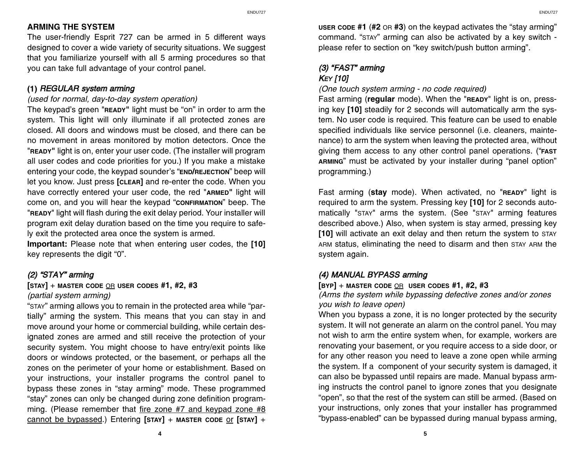## ARMING THE SYSTEM

The user-friendly Esprit 727 can be armed in 5 different ways designed to cover a wide variety of security situations. We suggest that you familiarize yourself with all 5 arming procedures so that you can take full advantage of your control panel.

# (1) REGULAR system arming

## *(used for normal, day-to-day system operation)*

The keypad's green "READY" light must be "on" in order to arm the system. This light will only illuminate if all protected zones are closed. All doors and windows must be closed, and there can be no movement in areas monitored by motion detectors. Once the "READY" light is on, enter your user code. (The installer will program all user codes and code priorities for you.) If you make a mistake entering your code, the keypad sounder's "END/REJECTION" beep will let you know. Just press [CLEAR] and re-enter the code. When you have correctly entered your user code, the red "ARMED" light will come on, and you will hear the keypad "conFIRMATION" beep. The "READY" light will flash during the exit delay period. Your installer will program exit delay duration based on the time you require to safely exit the protected area once the system is armed.

Important: Please note that when entering user codes, the [10] key represents the digit "0".

# $(2)$  "STAY" arming

## $[$  STAY $]$  + MASTER CODE OR USER CODES #1, #2, #3 *(partial system arming)*

"STAY" arming allows you to remain in the protected area while "partially" arming the system. This means that you can stay in and move around your home or commercial building, while certain designated zones are armed and still receive the protection of your security system. You might choose to have entry/exit points like doors or windows protected, or the basement, or perhaps all the zones on the perimeter of your home or establishment. Based on your instructions, your installer programs the control panel to bypass these zones in "stay arming" mode. These programmed "stay" zones can only be changed during zone definition programming. (Please remember that fire zone #7 and keypad zone #8 cannot be bypassed.) Entering  $[sTAY]$  + MASTER CODE or  $[sTAY]$  +

USER CODE #1 (#2 OR #3) on the keypad activates the "stay arming" command. "STAY" arming can also be activated by a key switch please refer to section on "key switch/push button arming".

# (3) "FAST" arming **KEY [10]**

## *(One touch system arming - no code required)*

Fast arming (regular mode). When the "READY" light is on, pressing key [10] steadily for 2 seconds will automatically arm the system. No user code is required. This feature can be used to enable specified individuals like service personnel (i.e. cleaners, maintenance) to arm the system when leaving the protected area, without giving them access to any other control panel operations. ("FAST ARMING" must be activated by your installer during "panel option" programming.)

Fast arming (stay mode). When activated, no "READY" light is required to arm the system. Pressing key [10] for 2 seconds automatically "STAY" arms the system. (See "STAY" arming features described above.) Also, when system is stay armed, pressing key [10] will activate an exit delay and then return the system to STAY ARM status, eliminating the need to disarm and then STAY ARM the system again.

# (4) MANUAL BYPASS arming

 $[BYP] + MASTER CODE  $OR$  USER CODES #1, #2, #3$ 

*(Arms the system while bypassing defective zones and/or zones you wish to leave open)*

When you bypass a zone, it is no longer protected by the security system. It will not generate an alarm on the control panel. You may not wish to arm the entire system when, for example, workers are renovating your basement, or you require access to a side door, or for any other reason you need to leave a zone open while arming the system. If a component of your security system is damaged, it can also be bypassed until repairs are made. Manual bypass arming instructs the control panel to ignore zones that you designate "open", so that the rest of the system can still be armed. (Based on your instructions, only zones that your installer has programmed "bypass-enabled" can be bypassed during manual bypass arming,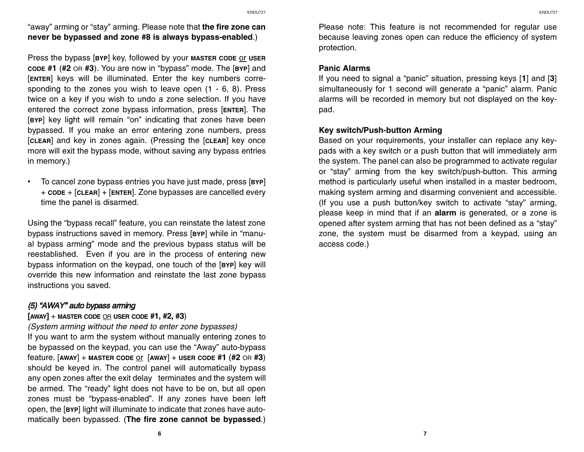"away" arming or "stay" arming. Please note that the fire zone can never be bypassed and zone #8 is always bypass-enabled.)

Press the bypass [BYP] key, followed by your MASTER CODE OF USER cope #1 (#2 on #3). You are now in "bypass" mode. The [BYP] and [ENTER] keys will be illuminated. Enter the key numbers corresponding to the zones you wish to leave open (1 - 6, 8). Press twice on a key if you wish to undo a zone selection. If you have entered the correct zone bypass information, press [ENTER]. The [BYP] key light will remain "on" indicating that zones have been bypassed. If you make an error entering zone numbers, press [CLEAR] and key in zones again. (Pressing the [CLEAR] key once more will exit the bypass mode, without saving any bypass entries in memory.)

 $\bullet$  To cancel zone bypass entries you have just made, press [BYP] <sup>+</sup>CODE + [CLEAR] + [ENTER]. Zone bypasses are cancelled every time the panel is disarmed.

Using the "bypass recall" feature, you can reinstate the latest zone bypass instructions saved in memory. Press [BYP] while in "manual bypass arming" mode and the previous bypass status will be reestablished. Even if you are in the process of entering new bypass information on the keypad, one touch of the [BYP] key will override this new information and reinstate the last zone bypass instructions you saved.

# (5) "AWAY" auto bypass arming

## $[AWAY]$  + MASTER CODE OR USER CODE #1, #2, #3)

*(System arming without the need to enter zone bypasses)* If you want to arm the system without manually entering zones to be bypassed on the keypad, you can use the "Away" auto-bypass feature.  $[AWAY]$  + MASTER CODE Or  $[AWAY]$  + USER CODE #1 (#2 OR #3) should be keyed in. The control panel will automatically bypass any open zones after the exit delay terminates and the system will be armed. The "ready" light does not have to be on, but all open zones must be "bypass-enabled". If any zones have been left open, the [BYP] light will illuminate to indicate that zones have automatically been bypassed. (The fire zone cannot be bypassed.)

Please note: This feature is not recommended for regular use because leaving zones open can reduce the efficiency of system protection.

## Panic Alarms

If you need to signal a "panic" situation, pressing keys  $[1]$  and  $[3]$ simultaneously for 1 second will generate a "panic" alarm. Panic alarms will be recorded in memory but not displayed on the keypad.

## Key switch/Push-button Arming

Based on your requirements, your installer can replace any keypads with a key switch or a push button that will immediately arm the system. The panel can also be programmed to activate regular or "stay" arming from the key switch/push-button. This arming method is particularly useful when installed in a master bedroom, making system arming and disarming convenient and accessible. (If you use a push button/key switch to activate "stay" arming, please keep in mind that if an alarm is generated, or a zone is opened after system arming that has not been defined as a "stay" zone, the system must be disarmed from a keypad, using an access code.)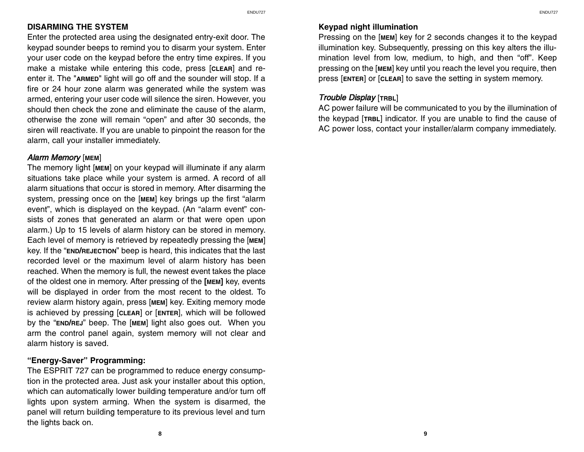## DISARMING THE SYSTEM

Enter the protected area using the designated entry-exit door. The keypad sounder beeps to remind you to disarm your system. Enter your user code on the keypad before the entry time expires. If you make a mistake while entering this code, press [CLEAR] and reenter it. The "ARMED" light will go off and the sounder will stop. If a fire or 24 hour zone alarm was generated while the system was armed, entering your user code will silence the siren. However, you should then check the zone and eliminate the cause of the alarm, otherwise the zone will remain "open" and after 30 seconds, the siren will reactivate. If you are unable to pinpoint the reason for the alarm, call your installer immediately.

## Alarm Memory [MEM]

The memory light [MEM] on your keypad will illuminate if any alarm situations take place while your system is armed. A record of all alarm situations that occur is stored in memory. After disarming the system, pressing once on the [MEM] key brings up the first "alarm event", which is displayed on the keypad. (An "alarm event" consists of zones that generated an alarm or that were open upon alarm.) Up to 15 levels of alarm history can be stored in memory. Each level of memory is retrieved by repeatedly pressing the [MEM] key. If the "END/REJECTION" beep is heard, this indicates that the last recorded level or the maximum level of alarm history has been reached. When the memory is full, the newest event takes the place of the oldest one in memory. After pressing of the [MEM] key, events will be displayed in order from the most recent to the oldest. To review alarm history again, press [MEM] key. Exiting memory mode is achieved by pressing [CLEAR] or [ENTER], which will be followed by the "END/REJ" beep. The [MEM] light also goes out. When you arm the control panel again, system memory will not clear and alarm history is saved.

# "Energy-Saver" Programming:

The ESPRIT 727 can be programmed to reduce energy consumption in the protected area. Just ask your installer about this option, which can automatically lower building temperature and/or turn off lights upon system arming. When the system is disarmed, the panel will return building temperature to its previous level and turn the lights back on.

# Keypad night illumination

Pressing on the [MEM] key for 2 seconds changes it to the keypad illumination key. Subsequently, pressing on this key alters the illumination level from low, medium, to high, and then "off". Keep pressing on the [MEM] key until you reach the level you require, then press [ENTER] or [CLEAR] to save the setting in system memory.

## Trouble Display [TRBL]

AC power failure will be communicated to you by the illumination of the keypad [TRBL] indicator. If you are unable to find the cause of AC power loss, contact your installer/alarm company immediately.